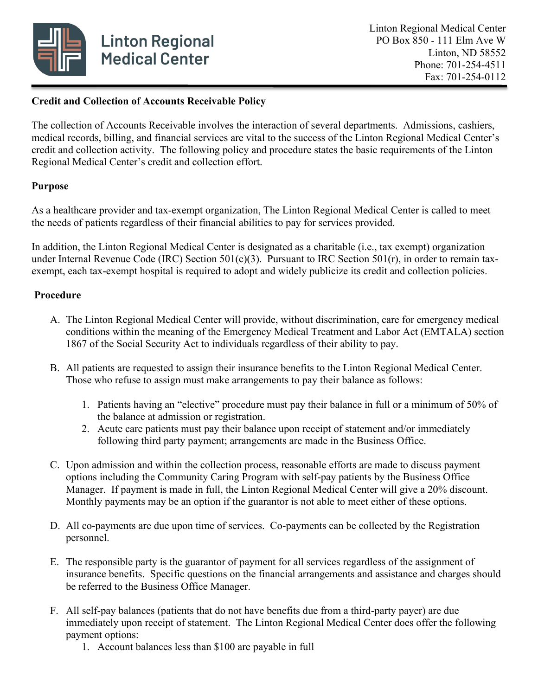

### **Credit and Collection of Accounts Receivable Policy**

The collection of Accounts Receivable involves the interaction of several departments. Admissions, cashiers, medical records, billing, and financial services are vital to the success of the Linton Regional Medical Center's credit and collection activity. The following policy and procedure states the basic requirements of the Linton Regional Medical Center's credit and collection effort.

### **Purpose**

As a healthcare provider and tax-exempt organization, The Linton Regional Medical Center is called to meet the needs of patients regardless of their financial abilities to pay for services provided.

In addition, the Linton Regional Medical Center is designated as a charitable (i.e., tax exempt) organization under Internal Revenue Code (IRC) Section 501(c)(3). Pursuant to IRC Section 501(r), in order to remain taxexempt, each tax-exempt hospital is required to adopt and widely publicize its credit and collection policies.

### **Procedure**

- A. The Linton Regional Medical Center will provide, without discrimination, care for emergency medical conditions within the meaning of the Emergency Medical Treatment and Labor Act (EMTALA) section 1867 of the Social Security Act to individuals regardless of their ability to pay.
- B. All patients are requested to assign their insurance benefits to the Linton Regional Medical Center. Those who refuse to assign must make arrangements to pay their balance as follows:
	- 1. Patients having an "elective" procedure must pay their balance in full or a minimum of 50% of the balance at admission or registration.
	- 2. Acute care patients must pay their balance upon receipt of statement and/or immediately following third party payment; arrangements are made in the Business Office.
- C. Upon admission and within the collection process, reasonable efforts are made to discuss payment options including the Community Caring Program with self-pay patients by the Business Office Manager. If payment is made in full, the Linton Regional Medical Center will give a 20% discount. Monthly payments may be an option if the guarantor is not able to meet either of these options.
- D. All co-payments are due upon time of services. Co-payments can be collected by the Registration personnel.
- E. The responsible party is the guarantor of payment for all services regardless of the assignment of insurance benefits. Specific questions on the financial arrangements and assistance and charges should be referred to the Business Office Manager.
- F. All self-pay balances (patients that do not have benefits due from a third-party payer) are due immediately upon receipt of statement. The Linton Regional Medical Center does offer the following payment options:
	- 1. Account balances less than \$100 are payable in full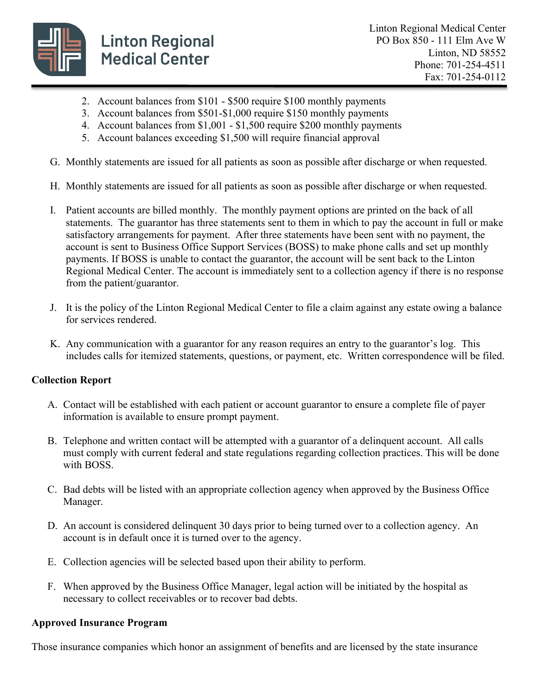

- 2. Account balances from \$101 \$500 require \$100 monthly payments
- 3. Account balances from \$501-\$1,000 require \$150 monthly payments
- 4. Account balances from \$1,001 \$1,500 require \$200 monthly payments
- 5. Account balances exceeding \$1,500 will require financial approval
- G. Monthly statements are issued for all patients as soon as possible after discharge or when requested.
- H. Monthly statements are issued for all patients as soon as possible after discharge or when requested.
- I. Patient accounts are billed monthly. The monthly payment options are printed on the back of all statements. The guarantor has three statements sent to them in which to pay the account in full or make satisfactory arrangements for payment. After three statements have been sent with no payment, the account is sent to Business Office Support Services (BOSS) to make phone calls and set up monthly payments. If BOSS is unable to contact the guarantor, the account will be sent back to the Linton Regional Medical Center. The account is immediately sent to a collection agency if there is no response from the patient/guarantor.
- J. It is the policy of the Linton Regional Medical Center to file a claim against any estate owing a balance for services rendered.
- K. Any communication with a guarantor for any reason requires an entry to the guarantor's log. This includes calls for itemized statements, questions, or payment, etc. Written correspondence will be filed.

# **Collection Report**

- A. Contact will be established with each patient or account guarantor to ensure a complete file of payer information is available to ensure prompt payment.
- B. Telephone and written contact will be attempted with a guarantor of a delinquent account. All calls must comply with current federal and state regulations regarding collection practices. This will be done with BOSS.
- C. Bad debts will be listed with an appropriate collection agency when approved by the Business Office Manager.
- D. An account is considered delinquent 30 days prior to being turned over to a collection agency. An account is in default once it is turned over to the agency.
- E. Collection agencies will be selected based upon their ability to perform.
- F. When approved by the Business Office Manager, legal action will be initiated by the hospital as necessary to collect receivables or to recover bad debts.

# **Approved Insurance Program**

Those insurance companies which honor an assignment of benefits and are licensed by the state insurance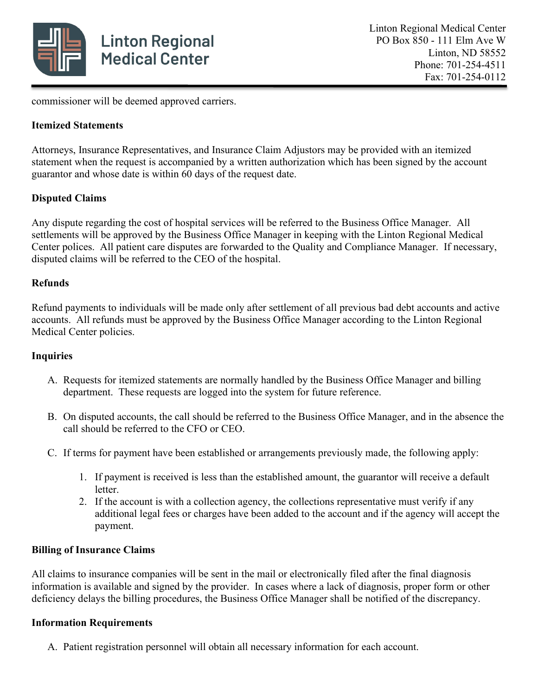

commissioner will be deemed approved carriers.

### **Itemized Statements**

Attorneys, Insurance Representatives, and Insurance Claim Adjustors may be provided with an itemized statement when the request is accompanied by a written authorization which has been signed by the account guarantor and whose date is within 60 days of the request date.

# **Disputed Claims**

Any dispute regarding the cost of hospital services will be referred to the Business Office Manager. All settlements will be approved by the Business Office Manager in keeping with the Linton Regional Medical Center polices. All patient care disputes are forwarded to the Quality and Compliance Manager. If necessary, disputed claims will be referred to the CEO of the hospital.

### **Refunds**

Refund payments to individuals will be made only after settlement of all previous bad debt accounts and active accounts. All refunds must be approved by the Business Office Manager according to the Linton Regional Medical Center policies.

#### **Inquiries**

- A. Requests for itemized statements are normally handled by the Business Office Manager and billing department. These requests are logged into the system for future reference.
- B. On disputed accounts, the call should be referred to the Business Office Manager, and in the absence the call should be referred to the CFO or CEO.
- C. If terms for payment have been established or arrangements previously made, the following apply:
	- 1. If payment is received is less than the established amount, the guarantor will receive a default letter.
	- 2. If the account is with a collection agency, the collections representative must verify if any additional legal fees or charges have been added to the account and if the agency will accept the payment.

#### **Billing of Insurance Claims**

All claims to insurance companies will be sent in the mail or electronically filed after the final diagnosis information is available and signed by the provider. In cases where a lack of diagnosis, proper form or other deficiency delays the billing procedures, the Business Office Manager shall be notified of the discrepancy.

#### **Information Requirements**

A. Patient registration personnel will obtain all necessary information for each account.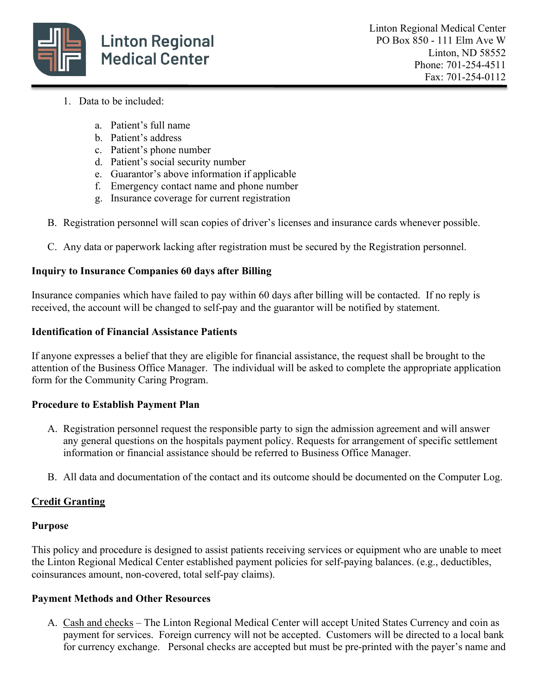

- 1. Data to be included:
	- a. Patient's full name
	- b. Patient's address
	- c. Patient's phone number
	- d. Patient's social security number
	- e. Guarantor's above information if applicable
	- f. Emergency contact name and phone number
	- g. Insurance coverage for current registration
- B. Registration personnel will scan copies of driver's licenses and insurance cards whenever possible.
- C. Any data or paperwork lacking after registration must be secured by the Registration personnel.

### **Inquiry to Insurance Companies 60 days after Billing**

Insurance companies which have failed to pay within 60 days after billing will be contacted. If no reply is received, the account will be changed to self-pay and the guarantor will be notified by statement.

#### **Identification of Financial Assistance Patients**

If anyone expresses a belief that they are eligible for financial assistance, the request shall be brought to the attention of the Business Office Manager. The individual will be asked to complete the appropriate application form for the Community Caring Program.

#### **Procedure to Establish Payment Plan**

- A. Registration personnel request the responsible party to sign the admission agreement and will answer any general questions on the hospitals payment policy. Requests for arrangement of specific settlement information or financial assistance should be referred to Business Office Manager.
- B. All data and documentation of the contact and its outcome should be documented on the Computer Log.

# **Credit Granting**

#### **Purpose**

This policy and procedure is designed to assist patients receiving services or equipment who are unable to meet the Linton Regional Medical Center established payment policies for self-paying balances. (e.g., deductibles, coinsurances amount, non-covered, total self-pay claims).

# **Payment Methods and Other Resources**

A. Cash and checks – The Linton Regional Medical Center will accept United States Currency and coin as payment for services. Foreign currency will not be accepted. Customers will be directed to a local bank for currency exchange. Personal checks are accepted but must be pre-printed with the payer's name and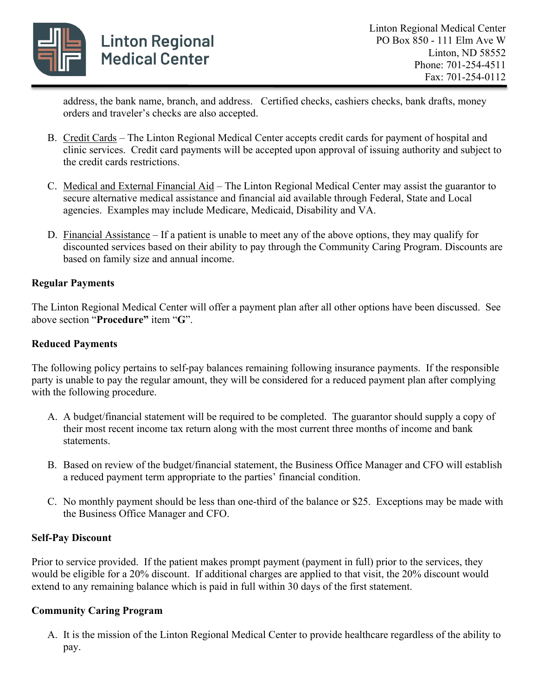

address, the bank name, branch, and address. Certified checks, cashiers checks, bank drafts, money orders and traveler's checks are also accepted.

- B. Credit Cards The Linton Regional Medical Center accepts credit cards for payment of hospital and clinic services. Credit card payments will be accepted upon approval of issuing authority and subject to the credit cards restrictions.
- C. Medical and External Financial Aid The Linton Regional Medical Center may assist the guarantor to secure alternative medical assistance and financial aid available through Federal, State and Local agencies. Examples may include Medicare, Medicaid, Disability and VA.
- D. Financial Assistance If a patient is unable to meet any of the above options, they may qualify for discounted services based on their ability to pay through the Community Caring Program. Discounts are based on family size and annual income.

#### **Regular Payments**

The Linton Regional Medical Center will offer a payment plan after all other options have been discussed. See above section "**Procedure"** item "**G**".

### **Reduced Payments**

The following policy pertains to self-pay balances remaining following insurance payments. If the responsible party is unable to pay the regular amount, they will be considered for a reduced payment plan after complying with the following procedure.

- A. A budget/financial statement will be required to be completed. The guarantor should supply a copy of their most recent income tax return along with the most current three months of income and bank statements.
- B. Based on review of the budget/financial statement, the Business Office Manager and CFO will establish a reduced payment term appropriate to the parties' financial condition.
- C. No monthly payment should be less than one-third of the balance or \$25. Exceptions may be made with the Business Office Manager and CFO.

#### **Self-Pay Discount**

Prior to service provided. If the patient makes prompt payment (payment in full) prior to the services, they would be eligible for a 20% discount. If additional charges are applied to that visit, the 20% discount would extend to any remaining balance which is paid in full within 30 days of the first statement.

#### **Community Caring Program**

A. It is the mission of the Linton Regional Medical Center to provide healthcare regardless of the ability to pay.